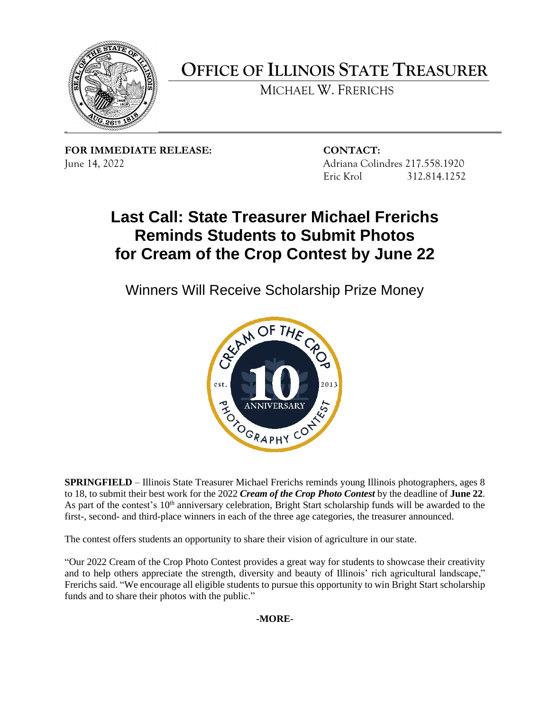

 **OFFICE OF ILLINOIS STATE TREASURER** 

MICHAEL W. FRERICHS

**FOR IMMEDIATE RELEASE: CONTACT:**  June 14, 2022 Adriana Colindres 217.558.1920

Eric Krol 312.814.1252

## **Last Call: State Treasurer Michael Frerichs Reminds Students to Submit Photos for Cream of the Crop Contest by June 22**

Winners Will Receive Scholarship Prize Money



 **SPRINGFIELD** – Illinois State Treasurer Michael Frerichs reminds young Illinois photographers, ages 8 to 18, to submit their best work for the 2022 *Cream of the Crop Photo Contest* by the deadline of **June 22**. As part of the contest's  $10<sup>th</sup>$  anniversary celebration, Bright Start scholarship funds will be awarded to the first-, second- and third-place winners in each of the three age categories, the treasurer announced.

The contest offers students an opportunity to share their vision of agriculture in our state.

 and to help others appreciate the strength, diversity and beauty of Illinois' rich agricultural landscape," Frerichs said. "We encourage all eligible students to pursue this opportunity to win Bright Start scholarship "Our 2022 Cream of the Crop Photo Contest provides a great way for students to showcase their creativity funds and to share their photos with the public."

**-MORE-**